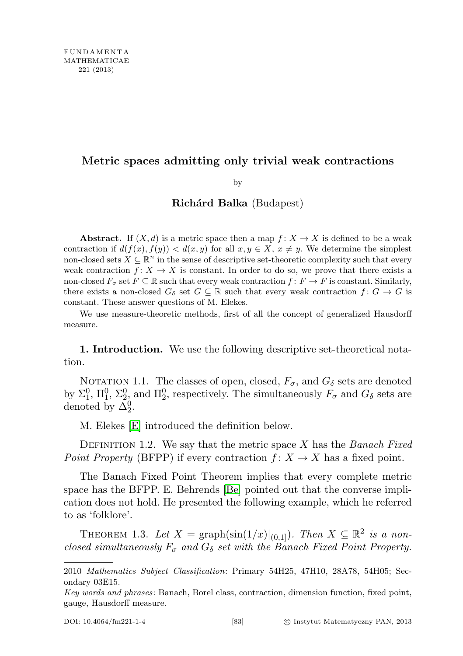# Metric spaces admitting only trivial weak contractions

by

## Richárd Balka (Budapest)

Abstract. If  $(X, d)$  is a metric space then a map  $f: X \to X$  is defined to be a weak contraction if  $d(f(x), f(y)) < d(x, y)$  for all  $x, y \in X$ ,  $x \neq y$ . We determine the simplest non-closed sets  $X \subseteq \mathbb{R}^n$  in the sense of descriptive set-theoretic complexity such that every weak contraction  $f: X \to X$  is constant. In order to do so, we prove that there exists a non-closed  $F_{\sigma}$  set  $F \subseteq \mathbb{R}$  such that every weak contraction  $f \colon F \to F$  is constant. Similarly, there exists a non-closed  $G_{\delta}$  set  $G \subseteq \mathbb{R}$  such that every weak contraction  $f: G \to G$  is constant. These answer questions of M. Elekes.

We use measure-theoretic methods, first of all the concept of generalized Hausdorff measure.

1. Introduction. We use the following descriptive set-theoretical notation.

NOTATION 1.1. The classes of open, closed,  $F_{\sigma}$ , and  $G_{\delta}$  sets are denoted by  $\Sigma_1^0$ ,  $\Pi_1^0$ ,  $\Sigma_2^0$  and  $\Pi_2^0$ , respectively. The simultaneously  $F_{\sigma}$  and  $G_{\delta}$  sets are denoted by  $\Delta_2^0$ .

M. Elekes [\[E\]](#page-11-0) introduced the definition below.

DEFINITION 1.2. We say that the metric space X has the Banach Fixed Point Property (BFPP) if every contraction  $f: X \to X$  has a fixed point.

The Banach Fixed Point Theorem implies that every complete metric space has the BFPP. E. Behrends [\[Be\]](#page-10-0) pointed out that the converse implication does not hold. He presented the following example, which he referred to as 'folklore'.

THEOREM 1.3. Let  $X = \text{graph}(\sin(1/x)|_{(0,1]})$ . Then  $X \subseteq \mathbb{R}^2$  is a nonclosed simultaneously  $F_{\sigma}$  and  $G_{\delta}$  set with the Banach Fixed Point Property.

<sup>2010</sup> Mathematics Subject Classification: Primary 54H25, 47H10, 28A78, 54H05; Secondary 03E15.

Key words and phrases: Banach, Borel class, contraction, dimension function, fixed point, gauge, Hausdorff measure.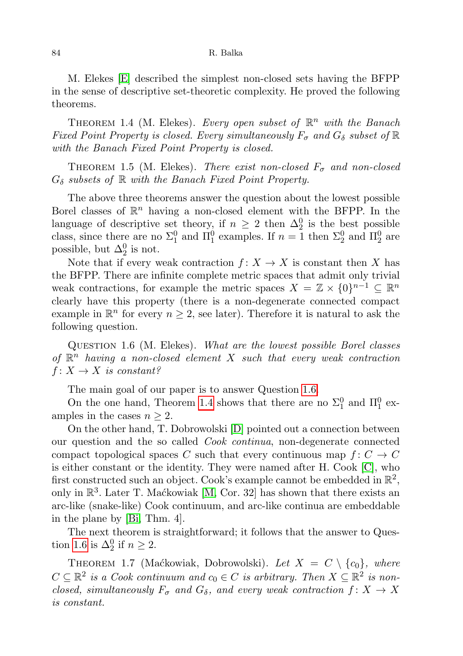M. Elekes [\[E\]](#page-11-0) described the simplest non-closed sets having the BFPP in the sense of descriptive set-theoretic complexity. He proved the following theorems.

<span id="page-1-1"></span>THEOREM 1.4 (M. Elekes). Every open subset of  $\mathbb{R}^n$  with the Banach Fixed Point Property is closed. Every simultaneously  $F_{\sigma}$  and  $G_{\delta}$  subset of  $\mathbb R$ with the Banach Fixed Point Property is closed.

THEOREM 1.5 (M. Elekes). There exist non-closed  $F_{\sigma}$  and non-closed  $G_{\delta}$  subsets of  $\mathbb R$  with the Banach Fixed Point Property.

The above three theorems answer the question about the lowest possible Borel classes of  $\mathbb{R}^n$  having a non-closed element with the BFPP. In the language of descriptive set theory, if  $n \geq 2$  then  $\Delta_2^0$  is the best possible class, since there are no  $\Sigma_1^0$  and  $\Pi_1^0$  examples. If  $n=1$  then  $\Sigma_2^0$  and  $\Pi_2^0$  are possible, but  $\Delta_2^0$  is not.

Note that if every weak contraction  $f: X \to X$  is constant then X has the BFPP. There are infinite complete metric spaces that admit only trivial weak contractions, for example the metric spaces  $X = \mathbb{Z} \times \{0\}^{n-1} \subseteq \mathbb{R}^n$ clearly have this property (there is a non-degenerate connected compact example in  $\mathbb{R}^n$  for every  $n \geq 2$ , see later). Therefore it is natural to ask the following question.

<span id="page-1-0"></span>QUESTION 1.6 (M. Elekes). What are the lowest possible Borel classes of  $\mathbb{R}^n$  having a non-closed element X such that every weak contraction  $f: X \to X$  is constant?

The main goal of our paper is to answer Question [1.6.](#page-1-0)

On the one hand, Theorem [1.4](#page-1-1) shows that there are no  $\Sigma_1^0$  and  $\Pi_1^0$  examples in the cases  $n \geq 2$ .

On the other hand, T. Dobrowolski [\[D\]](#page-11-1) pointed out a connection between our question and the so called Cook continua, non-degenerate connected compact topological spaces C such that every continuous map  $f: C \to C$ is either constant or the identity. They were named after H. Cook [\[C\]](#page-10-1), who first constructed such an object. Cook's example cannot be embedded in  $\mathbb{R}^2$ , only in  $\mathbb{R}^3$ . Later T. Maćkowiak [\[M,](#page-11-2) Cor. 32] has shown that there exists an arc-like (snake-like) Cook continuum, and arc-like continua are embeddable in the plane by [\[Bi,](#page-10-2) Thm. 4].

The next theorem is straightforward; it follows that the answer to Ques-tion [1.6](#page-1-0) is  $\Delta_2^0$  if  $n \geq 2$ .

THEOREM 1.7 (Maćkowiak, Dobrowolski). Let  $X = C \setminus \{c_0\}$ , where  $C \subseteq \mathbb{R}^2$  is a Cook continuum and  $c_0 \in C$  is arbitrary. Then  $X \subseteq \mathbb{R}^2$  is nonclosed, simultaneously  $F_{\sigma}$  and  $G_{\delta}$ , and every weak contraction  $f: X \rightarrow X$ is constant.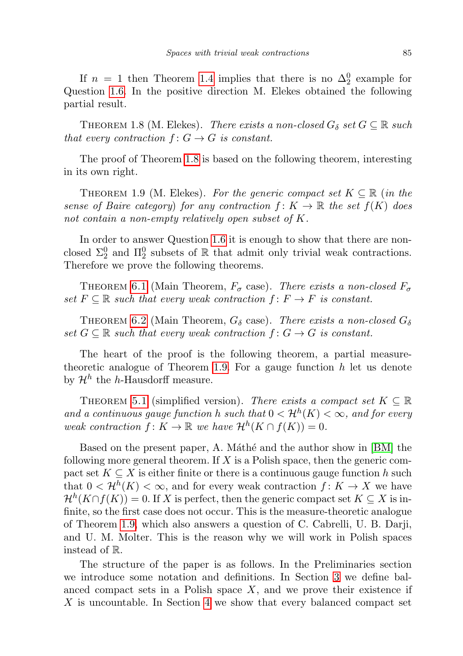If  $n = 1$  then Theorem [1.4](#page-1-1) implies that there is no  $\Delta_2^0$  example for Question [1.6.](#page-1-0) In the positive direction M. Elekes obtained the following partial result.

<span id="page-2-0"></span>THEOREM 1.8 (M. Elekes). There exists a non-closed  $G_{\delta}$  set  $G \subseteq \mathbb{R}$  such that every contraction  $f: G \to G$  is constant.

The proof of Theorem [1.8](#page-2-0) is based on the following theorem, interesting in its own right.

<span id="page-2-1"></span>THEOREM 1.9 (M. Elekes). For the generic compact set  $K \subseteq \mathbb{R}$  (in the sense of Baire category) for any contraction  $f: K \to \mathbb{R}$  the set  $f(K)$  does not contain a non-empty relatively open subset of K.

In order to answer Question [1.6](#page-1-0) it is enough to show that there are nonclosed  $\Sigma^0_2$  and  $\Pi^0_2$  subsets of  $\mathbb R$  that admit only trivial weak contractions. Therefore we prove the following theorems.

THEOREM [6.1](#page-8-0) (Main Theorem,  $F_{\sigma}$  case). There exists a non-closed  $F_{\sigma}$ set  $F \subseteq \mathbb{R}$  such that every weak contraction  $f: F \to F$  is constant.

THEOREM [6.2](#page-10-3) (Main Theorem,  $G_{\delta}$  case). There exists a non-closed  $G_{\delta}$ set  $G \subseteq \mathbb{R}$  such that every weak contraction  $f: G \to G$  is constant.

The heart of the proof is the following theorem, a partial measure-theoretic analogue of Theorem [1.9.](#page-2-1) For a gauge function  $h$  let us denote by  $\mathcal{H}^h$  the h-Hausdorff measure.

THEOREM [5.1](#page-7-0) (simplified version). There exists a compact set  $K \subseteq \mathbb{R}$ and a continuous gauge function h such that  $0 < H^h(K) < \infty$ , and for every weak contraction  $f: K \to \mathbb{R}$  we have  $\mathcal{H}^h(K \cap f(K)) = 0$ .

Based on the present paper, A. Máthé and the author show in [\[BM\]](#page-10-4) the following more general theorem. If  $X$  is a Polish space, then the generic compact set  $K \subseteq X$  is either finite or there is a continuous gauge function h such that  $0 < H^h(K) < \infty$ , and for every weak contraction  $f: K \to X$  we have  $\mathcal{H}^{h}(K\cap f(K))=0.$  If X is perfect, then the generic compact set  $K\subseteq X$  is infinite, so the first case does not occur. This is the measure-theoretic analogue of Theorem [1.9,](#page-2-1) which also answers a question of C. Cabrelli, U. B. Darji, and U. M. Molter. This is the reason why we will work in Polish spaces instead of R.

The structure of the paper is as follows. In the Preliminaries section we introduce some notation and definitions. In Section [3](#page-3-0) we define balanced compact sets in a Polish space  $X$ , and we prove their existence if X is uncountable. In Section [4](#page-5-0) we show that every balanced compact set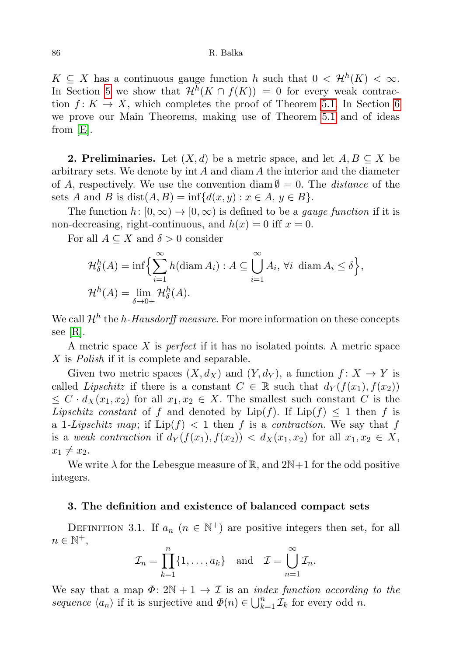$K \subseteq X$  has a continuous gauge function h such that  $0 < H^h(K) < \infty$ . In Section [5](#page-7-1) we show that  $\mathcal{H}^{h}(K \cap f(K)) = 0$  for every weak contraction  $f: K \to X$ , which completes the proof of Theorem [5.1.](#page-7-0) In Section [6](#page-8-1) we prove our Main Theorems, making use of Theorem [5.1](#page-7-0) and of ideas from [\[E\]](#page-11-0).

**2. Preliminaries.** Let  $(X, d)$  be a metric space, and let  $A, B \subseteq X$  be arbitrary sets. We denote by  $\int$  and diam A the interior and the diameter of A, respectively. We use the convention diam  $\emptyset = 0$ . The *distance* of the sets A and B is dist $(A, B) = \inf \{d(x, y) : x \in A, y \in B\}.$ 

The function  $h: [0, \infty) \to [0, \infty)$  is defined to be a *gauge function* if it is non-decreasing, right-continuous, and  $h(x) = 0$  iff  $x = 0$ .

For all  $A \subseteq X$  and  $\delta > 0$  consider

$$
\mathcal{H}_{\delta}^{h}(A) = \inf \Biggl\{ \sum_{i=1}^{\infty} h(\text{diam } A_{i}) : A \subseteq \bigcup_{i=1}^{\infty} A_{i}, \forall i \ \text{diam } A_{i} \le \delta \Biggr\},\
$$
  

$$
\mathcal{H}^{h}(A) = \lim_{\delta \to 0+} \mathcal{H}_{\delta}^{h}(A).
$$

We call  $\mathcal{H}^h$  the *h*-Hausdorff measure. For more information on these concepts see [\[R\]](#page-11-3).

A metric space  $X$  is *perfect* if it has no isolated points. A metric space X is Polish if it is complete and separable.

Given two metric spaces  $(X, d_X)$  and  $(Y, d_Y)$ , a function  $f: X \to Y$  is called Lipschitz if there is a constant  $C \in \mathbb{R}$  such that  $d_Y(f(x_1), f(x_2))$  $\leq C \cdot d_X(x_1, x_2)$  for all  $x_1, x_2 \in X$ . The smallest such constant C is the *Lipschitz constant* of f and denoted by Lip(f). If  $Lip(f) \leq 1$  then f is a 1-Lipschitz map; if  $\text{Lip}(f) < 1$  then f is a contraction. We say that f is a weak contraction if  $d_Y(f(x_1), f(x_2)) < d_X(x_1, x_2)$  for all  $x_1, x_2 \in X$ ,  $x_1 \neq x_2$ .

We write  $\lambda$  for the Lebesgue measure of R, and  $2N+1$  for the odd positive integers.

### <span id="page-3-0"></span>3. The definition and existence of balanced compact sets

DEFINITION 3.1. If  $a_n$   $(n \in \mathbb{N}^+)$  are positive integers then set, for all  $n \in \mathbb{N}^+,$ 

$$
\mathcal{I}_n = \prod_{k=1}^n \{1, \dots, a_k\} \text{ and } \mathcal{I} = \bigcup_{n=1}^\infty \mathcal{I}_n.
$$

We say that a map  $\Phi: 2\mathbb{N} + 1 \to \mathcal{I}$  is an *index function according to the* sequence  $\langle a_n \rangle$  if it is surjective and  $\Phi(n) \in \bigcup_{k=1}^n \mathcal{I}_k$  for every odd n.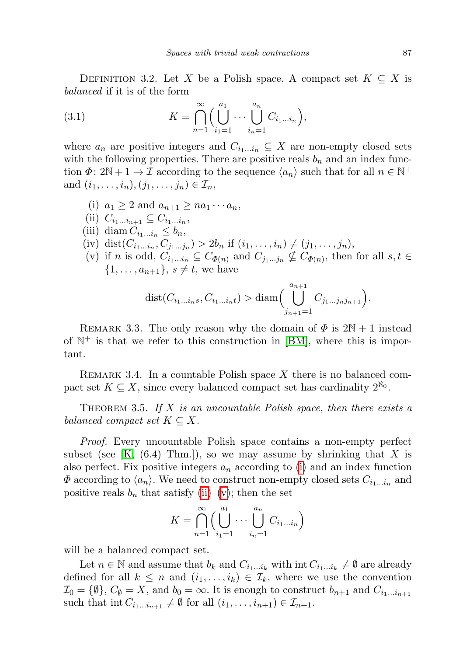<span id="page-4-5"></span>DEFINITION 3.2. Let X be a Polish space. A compact set  $K \subseteq X$  is balanced if it is of the form

(3.1) 
$$
K = \bigcap_{n=1}^{\infty} \Biggl( \bigcup_{i_1=1}^{a_1} \cdots \bigcup_{i_n=1}^{a_n} C_{i_1...i_n} \Biggr),
$$

where  $a_n$  are positive integers and  $C_{i_1...i_n} \subseteq X$  are non-empty closed sets with the following properties. There are positive reals  $b_n$  and an index function  $\Phi: 2\mathbb{N} + 1 \to \mathcal{I}$  according to the sequence  $\langle a_n \rangle$  such that for all  $n \in \mathbb{N}^+$ and  $(i_1, \ldots, i_n), (j_1, \ldots, j_n) \in \mathcal{I}_n$ ,

<span id="page-4-4"></span><span id="page-4-3"></span><span id="page-4-2"></span><span id="page-4-1"></span><span id="page-4-0"></span>(i)  $a_1 \geq 2$  and  $a_{n+1} \geq na_1 \cdots a_n$ , (ii)  $C_{i_1...i_{n+1}} \subseteq C_{i_1...i_n}$ , (iii) diam  $C_{i_1...i_n} \leq b_n$ , (iv) dist $(C_{i_1...i_n}, C_{j_1...j_n}) > 2b_n$  if  $(i_1,...,i_n) \neq (j_1,...,j_n)$ , (v) if *n* is odd,  $C_{i_1...i_n} \subseteq C_{\Phi(n)}$  and  $C_{j_1...j_n} \nsubseteq C_{\Phi(n)}$ , then for all  $s, t \in$  $\{1, \ldots, a_{n+1}\}, s \neq t$ , we have

dist
$$
(C_{i_1...i_n}, C_{i_1...i_n})
$$
 > diam $\Big(\bigcup_{j_{n+1}=1}^{a_{n+1}} C_{j_1...j_nj_{n+1}}\Big)$ .

REMARK 3.3. The only reason why the domain of  $\Phi$  is  $2N + 1$  instead of  $\mathbb{N}^+$  is that we refer to this construction in [\[BM\]](#page-10-4), where this is important.

REMARK 3.4. In a countable Polish space X there is no balanced compact set  $K \subseteq X$ , since every balanced compact set has cardinality  $2^{\aleph_0}$ .

<span id="page-4-6"></span>THEOREM 3.5. If  $X$  is an uncountable Polish space, then there exists a balanced compact set  $K \subseteq X$ .

Proof. Every uncountable Polish space contains a non-empty perfect subset (see  $[K, (6.4)$  $[K, (6.4)$  Thm.]), so we may assume by shrinking that X is also perfect. Fix positive integers  $a_n$  according to [\(i\)](#page-4-0) and an index function  $\Phi$  according to  $\langle a_n \rangle$ . We need to construct non-empty closed sets  $C_{i_1...i_n}$  and positive reals  $b_n$  that satisfy [\(ii\)](#page-4-1)–[\(v\)](#page-4-2); then the set

$$
K = \bigcap_{n=1}^{\infty} \Biggl( \bigcup_{i_1=1}^{a_1} \cdots \bigcup_{i_n=1}^{a_n} C_{i_1...i_n} \Biggr)
$$

will be a balanced compact set.

Let  $n \in \mathbb{N}$  and assume that  $b_k$  and  $C_{i_1...i_k}$  with  $\text{int } C_{i_1...i_k} \neq \emptyset$  are already defined for all  $k \leq n$  and  $(i_1, \ldots, i_k) \in \mathcal{I}_k$ , where we use the convention  $\mathcal{I}_0 = \{\emptyset\}, C_{\emptyset} = X$ , and  $b_0 = \infty$ . It is enough to construct  $b_{n+1}$  and  $C_{i_1...i_{n+1}}$ such that int  $C_{i_1...i_{n+1}} \neq \emptyset$  for all  $(i_1, \ldots, i_{n+1}) \in \mathcal{I}_{n+1}$ .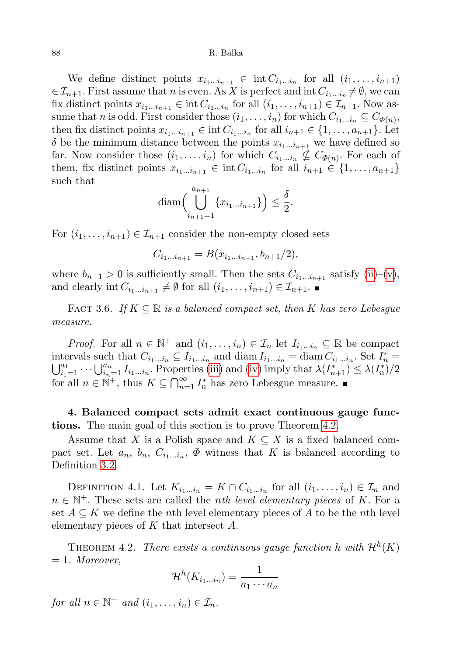We define distinct points  $x_{i_1...i_{n+1}} \in \text{int } C_{i_1...i_n}$  for all  $(i_1,...,i_{n+1})$  $\in \mathcal{I}_{n+1}$ . First assume that n is even. As X is perfect and int  $C_{i_1...i_n} \neq \emptyset$ , we can fix distinct points  $x_{i_1...i_{n+1}} \in \text{int } C_{i_1...i_n}$  for all  $(i_1,...,i_{n+1}) \in \mathcal{I}_{n+1}$ . Now assume that n is odd. First consider those  $(i_1, \ldots, i_n)$  for which  $C_{i_1 \ldots i_n} \subseteq C_{\Phi(n)}$ , then fix distinct points  $x_{i_1...i_{n+1}} \in \text{int } C_{i_1...i_n}$  for all  $i_{n+1} \in \{1, ..., a_{n+1}\}$ . Let  $\delta$  be the minimum distance between the points  $x_{i_1...i_{n+1}}$  we have defined so far. Now consider those  $(i_1, \ldots, i_n)$  for which  $C_{i_1 \ldots i_n} \nsubseteq C_{\Phi(n)}$ . For each of them, fix distinct points  $x_{i_1...i_{n+1}} \in \text{int } C_{i_1...i_n}$  for all  $i_{n+1} \in \{1, ..., a_{n+1}\}\$ such that

$$
\text{diam}\left(\bigcup_{i_{n+1}=1}^{a_{n+1}} \{x_{i_1...i_{n+1}}\}\right) \le \frac{\delta}{2}.
$$

For  $(i_1, \ldots, i_{n+1}) \in \mathcal{I}_{n+1}$  consider the non-empty closed sets

$$
C_{i_1...i_{n+1}} = B(x_{i_1...i_{n+1}}, b_{n+1}/2),
$$

where  $b_{n+1} > 0$  is sufficiently small. Then the sets  $C_{i_1...i_{n+1}}$  satisfy [\(ii\)](#page-4-1)–[\(v\)](#page-4-2), and clearly int  $C_{i_1...i_{n+1}} \neq \emptyset$  for all  $(i_1, \ldots, i_{n+1}) \in \mathcal{I}_{n+1}$ .

<span id="page-5-3"></span>FACT 3.6. If  $K \subseteq \mathbb{R}$  is a balanced compact set, then K has zero Lebesgue measure.

*Proof.* For all  $n \in \mathbb{N}^+$  and  $(i_1, \ldots, i_n) \in \mathcal{I}_n$  let  $I_{i_1...i_n} \subseteq \mathbb{R}$  be compact intervals such that  $C_{i_1...i_n} \subseteq I_{i_1...i_n}$  and  $\text{diam } I_{i_1...i_n} = \text{diam } C_{i_1...i_n}$ . Set  $I_n^*$ intervals such that  $C_{i_1...i_n} \subseteq I_{i_1...i_n}$  and diam  $I_{i_1...i_n} = \text{diam } C_{i_1...i_n}$ . Set  $I_n^* = \bigcup_{i_1=1}^{a_1} \cdots \bigcup_{i_n=1}^{a_n} I_{i_1...i_n}$ . Properties [\(iii\)](#page-4-3) and [\(iv\)](#page-4-4) imply that  $\lambda(I_{n+1}^*) \leq \lambda(I_n^*)/2$ for all  $n \in \mathbb{N}^+$ , thus  $K \subseteq \bigcap_{n=1}^{\infty} I_n^*$  has zero Lebesgue measure.

<span id="page-5-0"></span>4. Balanced compact sets admit exact continuous gauge functions. The main goal of this section is to prove Theorem [4.2.](#page-5-1)

Assume that X is a Polish space and  $K \subseteq X$  is a fixed balanced compact set. Let  $a_n$ ,  $b_n$ ,  $C_{i_1...i_n}$ ,  $\Phi$  witness that K is balanced according to Definition [3.2.](#page-4-5)

<span id="page-5-2"></span>DEFINITION 4.1. Let  $K_{i_1...i_n} = K \cap C_{i_1...i_n}$  for all  $(i_1,...,i_n) \in \mathcal{I}_n$  and  $n \in \mathbb{N}^+$ . These sets are called the *nth level elementary pieces* of K. For a set  $A \subseteq K$  we define the *n*th level elementary pieces of A to be the *n*th level elementary pieces of K that intersect A.

<span id="page-5-1"></span>THEOREM 4.2. There exists a continuous gauge function h with  $\mathcal{H}^{h}(K)$  $= 1.$  Moreover,

$$
\mathcal{H}^h(K_{i_1...i_n})=\frac{1}{a_1\cdots a_n}
$$

for all  $n \in \mathbb{N}^+$  and  $(i_1, \ldots, i_n) \in \mathcal{I}_n$ .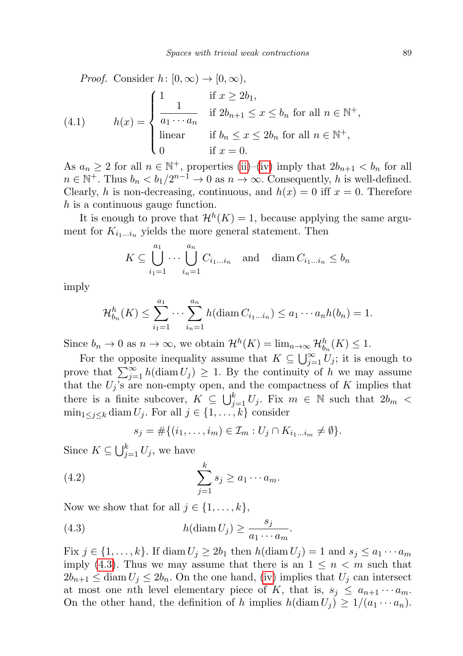<span id="page-6-2"></span>*Proof.* Consider  $h: [0, \infty) \to [0, \infty)$ ,

(4.1) 
$$
h(x) = \begin{cases} 1 & \text{if } x \ge 2b_1, \\ \frac{1}{a_1 \cdots a_n} & \text{if } 2b_{n+1} \le x \le b_n \text{ for all } n \in \mathbb{N}^+, \\ \text{linear} & \text{if } b_n \le x \le 2b_n \text{ for all } n \in \mathbb{N}^+, \\ 0 & \text{if } x = 0. \end{cases}
$$

As  $a_n \geq 2$  for all  $n \in \mathbb{N}^+$ , properties [\(ii\)](#page-4-1)–[\(iv\)](#page-4-4) imply that  $2b_{n+1} < b_n$  for all  $n \in \mathbb{N}^+$ . Thus  $b_n < b_1/2^{n-1} \to 0$  as  $n \to \infty$ . Consequently, h is well-defined. Clearly, h is non-decreasing, continuous, and  $h(x) = 0$  iff  $x = 0$ . Therefore h is a continuous gauge function.

It is enough to prove that  $\mathcal{H}^h(K) = 1$ , because applying the same argument for  $K_{i_1...i_n}$  yields the more general statement. Then

$$
K \subseteq \bigcup_{i_1=1}^{a_1} \cdots \bigcup_{i_n=1}^{a_n} C_{i_1...i_n} \quad \text{and} \quad \text{diam } C_{i_1...i_n} \le b_n
$$

imply

$$
\mathcal{H}_{b_n}^h(K) \leq \sum_{i_1=1}^{a_1} \cdots \sum_{i_n=1}^{a_n} h(\text{diam } C_{i_1...i_n}) \leq a_1 \cdots a_n h(b_n) = 1.
$$

Since  $b_n \to 0$  as  $n \to \infty$ , we obtain  $\mathcal{H}^h(K) = \lim_{n \to \infty} \mathcal{H}_{b_n}^h(K) \leq 1$ .

For the opposite inequality assume that  $K \subseteq \bigcup_{j=1}^{\infty} U_j$ ; it is enough to prove that  $\sum_{j=1}^{\infty} h(\text{diam } U_j) \geq 1$ . By the continuity of h we may assume that the  $U_j$ 's are non-empty open, and the compactness of K implies that there is a finite subcover,  $K \subseteq \bigcup_{j=1}^{k} U_j$ . Fix  $m \in \mathbb{N}$  such that  $2b_m <$  $\min_{1 \leq j \leq k} \text{diam } U_j$ . For all  $j \in \{1, \ldots, k\}$  consider

<span id="page-6-1"></span><span id="page-6-0"></span>
$$
s_j = \#\{(i_1,\ldots,i_m) \in \mathcal{I}_m : U_j \cap K_{i_1\ldots i_m} \neq \emptyset\}.
$$

Since  $K \subseteq \bigcup_{j=1}^k U_j$ , we have

(4.2) 
$$
\sum_{j=1}^{k} s_j \ge a_1 \cdots a_m.
$$

Now we show that for all  $j \in \{1, \ldots, k\}$ ,

(4.3) 
$$
h(\text{diam } U_j) \ge \frac{s_j}{a_1 \cdots a_m}.
$$

Fix  $j \in \{1, \ldots, k\}$ . If diam  $U_j \geq 2b_1$  then  $h(\text{diam } U_j) = 1$  and  $s_j \leq a_1 \cdots a_m$ imply [\(4.3\)](#page-6-0). Thus we may assume that there is an  $1 \leq n \leq m$  such that  $2b_{n+1} \leq \text{diam } U_j \leq 2b_n$ . On the one hand, [\(iv\)](#page-4-4) implies that  $U_j$  can intersect at most one *n*th level elementary piece of K, that is,  $s_i \leq a_{n+1} \cdots a_m$ . On the other hand, the definition of h implies  $h(\text{diam } U_j) \geq 1/(a_1 \cdots a_n)$ .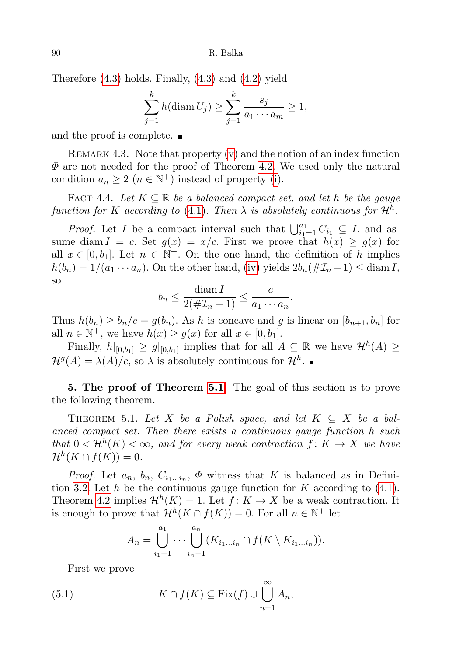Therefore [\(4.3\)](#page-6-0) holds. Finally, [\(4.3\)](#page-6-0) and [\(4.2\)](#page-6-1) yield

$$
\sum_{j=1}^{k} h(\text{diam } U_j) \ge \sum_{j=1}^{k} \frac{s_j}{a_1 \cdots a_m} \ge 1,
$$

and the proof is complete.

REMARK 4.3. Note that property  $(v)$  and the notion of an index function  $\Phi$  are not needed for the proof of Theorem [4.2.](#page-5-1) We used only the natural condition  $a_n \geq 2$   $(n \in \mathbb{N}^+)$  instead of property [\(i\)](#page-4-0).

<span id="page-7-3"></span>FACT 4.4. Let  $K \subseteq \mathbb{R}$  be a balanced compact set, and let h be the gauge function for K according to [\(4.1\)](#page-6-2). Then  $\lambda$  is absolutely continuous for  $\mathcal{H}^h$ .

*Proof.* Let I be a compact interval such that  $\bigcup_{i=1}^{a_1} C_{i_1} \subseteq I$ , and assume diam  $I = c$ . Set  $g(x) = x/c$ . First we prove that  $h(x) \ge g(x)$  for all  $x \in [0, b_1]$ . Let  $n \in \mathbb{N}^+$ . On the one hand, the definition of h implies  $h(b_n) = 1/(a_1 \cdots a_n)$ . On the other hand, [\(iv\)](#page-4-4) yields  $2b_n(\#\mathcal{I}_n-1) \leq \text{diam } I$ , so

$$
b_n \le \frac{\operatorname{diam} I}{2(\#\mathcal{I}_n - 1)} \le \frac{c}{a_1 \cdots a_n}.
$$

Thus  $h(b_n) \geq b_n/c = g(b_n)$ . As h is concave and g is linear on  $[b_{n+1}, b_n]$  for all  $n \in \mathbb{N}^+$ , we have  $h(x) \ge g(x)$  for all  $x \in [0, b_1]$ .

Finally,  $h|_{[0,b_1]} \ge g|_{[0,b_1]}$  implies that for all  $A \subseteq \mathbb{R}$  we have  $\mathcal{H}^h(A) \ge$  $\mathcal{H}^g(A) = \lambda(A)/c$ , so  $\lambda$  is absolutely continuous for  $\mathcal{H}^h$ .

<span id="page-7-1"></span>5. The proof of Theorem [5.1.](#page-7-0) The goal of this section is to prove the following theorem.

<span id="page-7-0"></span>THEOREM 5.1. Let X be a Polish space, and let  $K \subseteq X$  be a balanced compact set. Then there exists a continuous gauge function h such that  $0 < H^h(K) < \infty$ , and for every weak contraction  $f: K \to X$  we have  $\mathcal{H}^{h}(K \cap f(K)) = 0.$ 

*Proof.* Let  $a_n$ ,  $b_n$ ,  $C_{i_1...i_n}$ ,  $\Phi$  witness that K is balanced as in Defini-tion [3.2.](#page-4-5) Let  $h$  be the continuous gauge function for  $K$  according to [\(4.1\)](#page-6-2). Theorem [4.2](#page-5-1) implies  $\mathcal{H}^h(K) = 1$ . Let  $f: K \to X$  be a weak contraction. It is enough to prove that  $\mathcal{H}^{h}(K \cap f(K)) = 0$ . For all  $n \in \mathbb{N}^{+}$  let

<span id="page-7-2"></span>
$$
A_n = \bigcup_{i_1=1}^{a_1} \cdots \bigcup_{i_n=1}^{a_n} (K_{i_1 \ldots i_n} \cap f(K \setminus K_{i_1 \ldots i_n})).
$$

First we prove

(5.1) 
$$
K \cap f(K) \subseteq \text{Fix}(f) \cup \bigcup_{n=1}^{\infty} A_n,
$$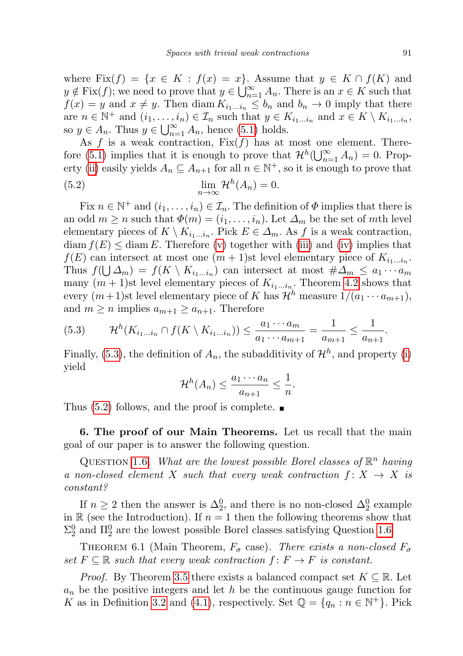where Fix $(f) = \{x \in K : f(x) = x\}$ . Assume that  $y \in K \cap f(K)$  and  $y \notin \text{Fix}(f)$ ; we need to prove that  $y \in \bigcup_{n=1}^{\infty} A_n$ . There is an  $x \in K$  such that  $f(x) = y$  and  $x \neq y$ . Then diam  $K_{i_1...i_n} \leq b_n$  and  $b_n \to 0$  imply that there are  $n \in \mathbb{N}^+$  and  $(i_1, \ldots, i_n) \in \mathcal{I}_n$  such that  $y \in K_{i_1...i_n}$  and  $x \in K \setminus K_{i_1...i_n}$ , so  $y \in A_n$ . Thus  $y \in \bigcup_{n=1}^{\infty} A_n$ , hence [\(5.1\)](#page-7-2) holds.

As f is a weak contraction,  $Fix(f)$  has at most one element. There-fore [\(5.1\)](#page-7-2) implies that it is enough to prove that  $\mathcal{H}^h(\bigcup_{n=1}^{\infty} A_n) = 0$ . Prop-erty [\(ii\)](#page-4-1) easily yields  $A_n \subseteq A_{n+1}$  for all  $n \in \mathbb{N}^+$ , so it is enough to prove that

<span id="page-8-3"></span>(5.2) 
$$
\lim_{n \to \infty} \mathcal{H}^{h}(A_n) = 0.
$$

Fix  $n \in \mathbb{N}^+$  and  $(i_1, \ldots, i_n) \in \mathcal{I}_n$ . The definition of  $\Phi$  implies that there is an odd  $m \ge n$  such that  $\Phi(m) = (i_1, \ldots, i_n)$ . Let  $\Delta_m$  be the set of mth level elementary pieces of  $K \setminus K_{i_1...i_n}$ . Pick  $E \in \Delta_m$ . As f is a weak contraction,  $\dim f(E) \leq \dim E$ . Therefore [\(v\)](#page-4-2) together with [\(iii\)](#page-4-3) and [\(iv\)](#page-4-4) implies that  $f(E)$  can intersect at most one  $(m+1)$ st level elementary piece of  $K_{i_1...i_n}$ . Thus  $f(\bigcup \Delta_m) = f(K \setminus K_{i_1...i_n})$  can intersect at most  $\#\Delta_m \leq a_1 \cdots a_m$ many  $(m+1)$ st level elementary pieces of  $K_{i_1...i_n}$ . Theorem [4.2](#page-5-1) shows that every  $(m+1)$ st level elementary piece of K has  $\mathcal{H}^h$  measure  $1/(a_1 \cdots a_{m+1}),$ and  $m \geq n$  implies  $a_{m+1} \geq a_{n+1}$ . Therefore

<span id="page-8-2"></span>
$$
(5.3) \t\mathcal{H}^h(K_{i_1...i_n} \cap f(K \setminus K_{i_1...i_n})) \leq \frac{a_1 \cdots a_m}{a_1 \cdots a_{m+1}} = \frac{1}{a_{m+1}} \leq \frac{1}{a_{n+1}}.
$$

Finally, [\(5.3\)](#page-8-2), the definition of  $A_n$ , the subadditivity of  $\mathcal{H}^h$ , and property [\(i\)](#page-4-0) yield

$$
\mathcal{H}^h(A_n) \le \frac{a_1 \cdots a_n}{a_{n+1}} \le \frac{1}{n}.
$$

Thus  $(5.2)$  follows, and the proof is complete.

<span id="page-8-1"></span>6. The proof of our Main Theorems. Let us recall that the main goal of our paper is to answer the following question.

QUESTION [1.6.](#page-1-0) What are the lowest possible Borel classes of  $\mathbb{R}^n$  having a non-closed element X such that every weak contraction  $f: X \rightarrow X$  is constant?

If  $n \geq 2$  then the answer is  $\Delta_2^0$ , and there is no non-closed  $\Delta_2^0$  example in  $\mathbb R$  (see the Introduction). If  $n = 1$  then the following theorems show that  $\Sigma_2^0$  and  $\Pi_2^0$  are the lowest possible Borel classes satisfying Question [1.6.](#page-1-0)

<span id="page-8-0"></span>THEOREM 6.1 (Main Theorem,  $F_{\sigma}$  case). There exists a non-closed  $F_{\sigma}$ set  $F \subseteq \mathbb{R}$  such that every weak contraction  $f: F \to F$  is constant.

*Proof.* By Theorem [3.5](#page-4-6) there exists a balanced compact set  $K \subseteq \mathbb{R}$ . Let  $a_n$  be the positive integers and let h be the continuous gauge function for K as in Definition [3.2](#page-4-5) and [\(4.1\)](#page-6-2), respectively. Set  $\mathbb{Q} = \{q_n : n \in \mathbb{N}^+\}$ . Pick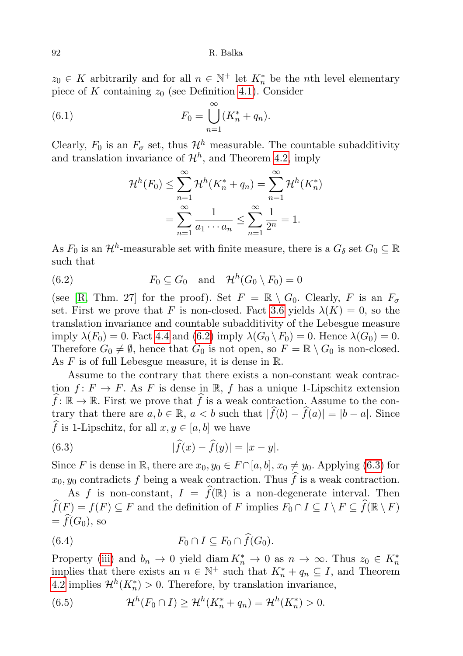$z_0 \in K$  arbitrarily and for all  $n \in \mathbb{N}^+$  let  $K_n^*$  be the *n*th level elementary piece of K containing  $z_0$  (see Definition [4.1\)](#page-5-2). Consider

(6.1) 
$$
F_0 = \bigcup_{n=1}^{\infty} (K_n^* + q_n).
$$

Clearly,  $F_0$  is an  $F_{\sigma}$  set, thus  $\mathcal{H}^h$  measurable. The countable subadditivity and translation invariance of  $\mathcal{H}^h$ , and Theorem [4.2,](#page-5-1) imply

<span id="page-9-4"></span>
$$
\mathcal{H}^{h}(F_0) \leq \sum_{n=1}^{\infty} \mathcal{H}^{h}(K_n^* + q_n) = \sum_{n=1}^{\infty} \mathcal{H}^{h}(K_n^*)
$$

$$
= \sum_{n=1}^{\infty} \frac{1}{a_1 \cdots a_n} \leq \sum_{n=1}^{\infty} \frac{1}{2^n} = 1.
$$

As  $F_0$  is an  $\mathcal{H}^h$ -measurable set with finite measure, there is a  $G_\delta$  set  $G_0 \subseteq \mathbb{R}$ such that

<span id="page-9-0"></span>(6.2) 
$$
F_0 \subseteq G_0 \quad \text{and} \quad \mathcal{H}^h(G_0 \setminus F_0) = 0
$$

(see [\[R,](#page-11-3) Thm. 27] for the proof). Set  $F = \mathbb{R} \setminus G_0$ . Clearly, F is an  $F_{\sigma}$ set. First we prove that F is non-closed. Fact [3.6](#page-5-3) yields  $\lambda(K) = 0$ , so the translation invariance and countable subadditivity of the Lebesgue measure imply  $\lambda(F_0) = 0$ . Fact [4.4](#page-7-3) and  $(6.2)$  imply  $\lambda(G_0 \setminus F_0) = 0$ . Hence  $\lambda(G_0) = 0$ . Therefore  $G_0 \neq \emptyset$ , hence that  $G_0$  is not open, so  $F = \mathbb{R} \setminus G_0$  is non-closed. As  $F$  is of full Lebesgue measure, it is dense in  $\mathbb{R}$ .

Assume to the contrary that there exists a non-constant weak contraction  $f: F \to F$ . As F is dense in R, f has a unique 1-Lipschitz extension  $\widehat{f}: \mathbb{R} \to \mathbb{R}$ . First we prove that  $\widehat{f}$  is a weak contraction. Assume to the contrary that there are  $a, b \in \mathbb{R}$ ,  $a < b$  such that  $|f(b) - f(a)| = |b - a|$ . Since  $\widehat{f}$  is 1-Lipschitz, for all  $x, y \in [a, b]$  we have

<span id="page-9-1"></span>(6.3) 
$$
|\hat{f}(x) - \hat{f}(y)| = |x - y|.
$$

Since F is dense in R, there are  $x_0, y_0 \in F \cap [a, b], x_0 \neq y_0$ . Applying [\(6.3\)](#page-9-1) for  $x_0, y_0$  contradicts f being a weak contraction. Thus  $\hat{f}$  is a weak contraction.

As f is non-constant,  $I = \widehat{f}(\mathbb{R})$  is a non-degenerate interval. Then  $\widehat{f}(F) = f(F) \subseteq F$  and the definition of F implies  $F_0 \cap I \subseteq I \setminus F \subseteq \widehat{f}(\mathbb{R} \setminus F)$  $=\widehat{f}(G_0)$ , so

<span id="page-9-3"></span>(6.4) 
$$
F_0 \cap I \subseteq F_0 \cap \widehat{f}(G_0).
$$

Property [\(iii\)](#page-4-3) and  $b_n \to 0$  yield diam  $K_n^* \to 0$  as  $n \to \infty$ . Thus  $z_0 \in K_n^*$ implies that there exists an  $n \in \mathbb{N}^+$  such that  $K_n^* + q_n \subseteq I$ , and Theorem [4.2](#page-5-1) implies  $\mathcal{H}^h(K_n^*) > 0$ . Therefore, by translation invariance,

<span id="page-9-2"></span>(6.5) 
$$
\mathcal{H}^h(F_0 \cap I) \geq \mathcal{H}^h(K_n^* + q_n) = \mathcal{H}^h(K_n^*) > 0.
$$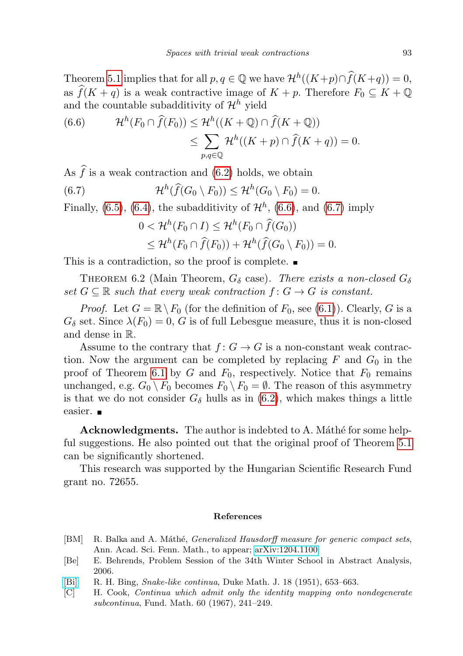Theorem [5.1](#page-7-0) implies that for all  $p, q \in \mathbb{Q}$  we have  $\mathcal{H}^h((K+p) \cap \hat{f}(K+q)) = 0$ , as  $\widehat{f}(K + q)$  is a weak contractive image of  $K + p$ . Therefore  $F_0 \subseteq K + \mathbb{Q}$ and the countable subadditivity of  $\mathcal{H}^h$  yield

<span id="page-10-5"></span>(6.6) 
$$
\mathcal{H}^{h}(F_0 \cap \hat{f}(F_0)) \leq \mathcal{H}^{h}((K + \mathbb{Q}) \cap \hat{f}(K + \mathbb{Q}))
$$

$$
\leq \sum_{p,q \in \mathbb{Q}} \mathcal{H}^{h}((K + p) \cap \hat{f}(K + q)) = 0.
$$

As  $\hat{f}$  is a weak contraction and [\(6.2\)](#page-9-0) holds, we obtain

(6.7) 
$$
\mathcal{H}^{h}(\widehat{f}(G_0 \setminus F_0)) \leq \mathcal{H}^{h}(G_0 \setminus F_0) = 0.
$$

Finally,  $(6.5)$ ,  $(6.4)$ , the subadditivity of  $\mathcal{H}^h$ ,  $(6.6)$ , and  $(6.7)$  imply

<span id="page-10-6"></span>
$$
0 < \mathcal{H}^h(F_0 \cap I) \leq \mathcal{H}^h(F_0 \cap \widehat{f}(G_0))
$$
  
\$\leq \mathcal{H}^h(F\_0 \cap \widehat{f}(F\_0)) + \mathcal{H}^h(\widehat{f}(G\_0 \setminus F\_0)) = 0\$.

This is a contradiction, so the proof is complete.

<span id="page-10-3"></span>THEOREM 6.2 (Main Theorem,  $G_{\delta}$  case). There exists a non-closed  $G_{\delta}$ set  $G \subseteq \mathbb{R}$  such that every weak contraction  $f: G \to G$  is constant.

*Proof.* Let  $G = \mathbb{R} \setminus F_0$  (for the definition of  $F_0$ , see [\(6.1\)](#page-9-4)). Clearly, G is a  $G_{\delta}$  set. Since  $\lambda(F_0) = 0$ , G is of full Lebesgue measure, thus it is non-closed and dense in R.

Assume to the contrary that  $f: G \to G$  is a non-constant weak contraction. Now the argument can be completed by replacing  $F$  and  $G_0$  in the proof of Theorem [6.1](#page-8-0) by G and  $F_0$ , respectively. Notice that  $F_0$  remains unchanged, e.g.  $G_0 \setminus F_0$  becomes  $F_0 \setminus F_0 = \emptyset$ . The reason of this asymmetry is that we do not consider  $G_{\delta}$  hulls as in [\(6.2\)](#page-9-0), which makes things a little easier. **■** 

Acknowledgments. The author is indebted to A. Máthé for some helpful suggestions. He also pointed out that the original proof of Theorem [5.1](#page-7-0) can be significantly shortened.

This research was supported by the Hungarian Scientific Research Fund grant no. 72655.

### References

- <span id="page-10-4"></span>[BM] R. Balka and A. Máthé, *Generalized Hausdorff measure for generic compact sets*, Ann. Acad. Sci. Fenn. Math., to appear; [arXiv:1204.1100.](http://arxiv.org/abs/1204.1100)
- <span id="page-10-0"></span>[Be] E. Behrends, Problem Session of the 34th Winter School in Abstract Analysis, 2006.
- <span id="page-10-2"></span>[\[Bi\]](http://dx.doi.org/10.1215/S0012-7094-51-01857-1) R. H. Bing, *Snake-like continua*, Duke Math. J. 18 (1951), 653–663.
- <span id="page-10-1"></span>[C] H. Cook, Continua which admit only the identity mapping onto nondegenerate subcontinua, Fund. Math. 60 (1967), 241–249.